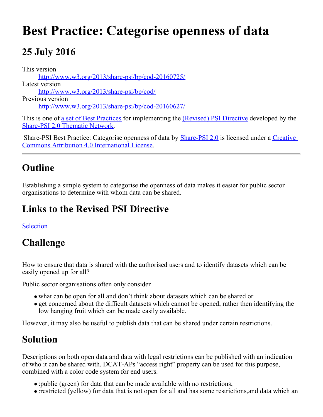# **Best Practice: Categorise openness of data**

## **25 July 2016**

This version [http://www.w3.org/2013/share-psi/bp/cod-20160725/](https://www.w3.org/2013/share-psi/bp/cod-20160725/) Latest version [http://www.w3.org/2013/share-psi/bp/cod/](https://www.w3.org/2013/share-psi/bp/cod/) Previous version [http://www.w3.org/2013/share-psi/bp/cod-20160627/](https://www.w3.org/2013/share-psi/bp/cod-20160627/)

This is one of <u>a set of Best Practices</u> for implementing the *(Revised)* PSI Directive developed by the [Share-PSI 2.0 Thematic Network](http://www.w3.org/2013/share-psi/).

Share-PSI Best Practice: Categorise openness of data by **[Share-PSI 2.0](http://www.w3.org/2013/share-psi/)** is licensed under a [Creative](http://creativecommons.org/licenses/by/4.0/) [Commons Attribution 4.0 International License](http://creativecommons.org/licenses/by/4.0/).

## **Outline**

Establishing a simple system to categorise the openness of data makes it easier for public sector organisations to determine with whom data can be shared.

## **Links to the Revised PSI Directive**

[Selection](https://www.w3.org/2013/share-psi/bp/selection/)

## **Challenge**

How to ensure that data is shared with the authorised users and to identify datasets which can be easily opened up for all?

Public sector organisations often only consider

- what can be open for all and don't think about datasets which can be shared or
- get concerned about the difficult datasets which cannot be opened, rather then identifying the low hanging fruit which can be made easily available.

However, it may also be useful to publish data that can be shared under certain restrictions.

## **Solution**

Descriptions on both open data and data with legal restrictions can be published with an indication of who it can be shared with. DCAT-APs "access right" property can be used for this purpose, combined with a color code system for end users.

- :public (green) for data that can be made available with no restrictions;
- :restricted (yellow) for data that is not open for all and has some restrictions,and data which an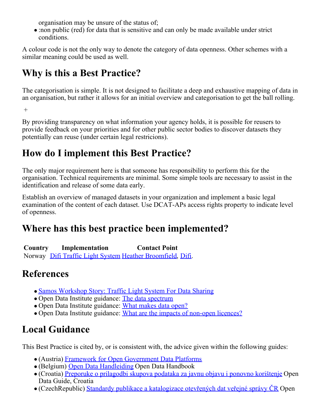organisation may be unsure of the status of;

:non public (red) for data that is sensitive and can only be made available under strict conditions.

A colour code is not the only way to denote the category of data openness. Other schemes with a similar meaning could be used as well.

## **Why is this a Best Practice?**

The categorisation is simple. It is not designed to facilitate a deep and exhaustive mapping of data in an organisation, but rather it allows for an initial overview and categorisation to get the ball rolling.

 $+$ 

By providing transparency on what information your agency holds, it is possible for reusers to provide feedback on your priorities and for other public sector bodies to discover datasets they potentially can reuse (under certain legal restricions).

#### **How do I implement this Best Practice?**

The only major requirement here is that someone has responsibility to perform this for the organisation. Technical requirements are minimal. Some simple tools are necessary to assist in the identification and release of some data early.

Establish an overview of managed datasets in your organization and implement a basic legal examination of the content of each dataset. Use DCAT-APs access rights property to indicate level of openness.

#### **Where has this best practice been implemented?**

**Country Implementation Contact Point** Norway [Difi Traffic Light System](https://www.w3.org/2013/share-psi/wiki/images/d/d2/NorwegianPublicSectorSharePSISamos.pdf) [Heather Broomfield](mailto:hbr@difi.no), [Difi](http://www.difi.no/).

## **References**

- [Samos Workshop Story: Traffic Light System For Data Sharing](https://www.w3.org/2013/share-psi/wiki/Best_Practices/Traffic_Light_System_For_Data_Sharing)
- Open Data Institute guidance: [The data spectrum](http://theodi/data-spectrum)
- Open Data Institute guidance: [What makes data open?](http://theodi.org/guides/what-open-data)
- Open Data Institute guidance: [What are the impacts of non-open licences?](http://theodi.org/guides/impacts-of-non-open-licenses)

## **Local Guidance**

This Best Practice is cited by, or is consistent with, the advice given within the following guides:

- (Austria) [Framework for Open Government Data Platforms](https://www.w3.org/2013/share-psi/lg/Austria#atGuide)
- (Belgium) [Open Data Handleiding](https://www.w3.org/2013/share-psi/lg/Belgium#vlGuide) Open Data Handbook
- (Croatia) [Preporuke o prilagodbi skupova podataka za javnu objavu i ponovno korištenje](https://www.w3.org/2013/share-psi/lg/Croatia#hrGuide) Open Data Guide, Croatia
- (CzechRepublic) [Standardy publikace a katalogizace otevřených dat veřejné správy ČR](https://www.w3.org/2013/share-psi/lg/CzechRepublic#czOpenDataStandards) Open